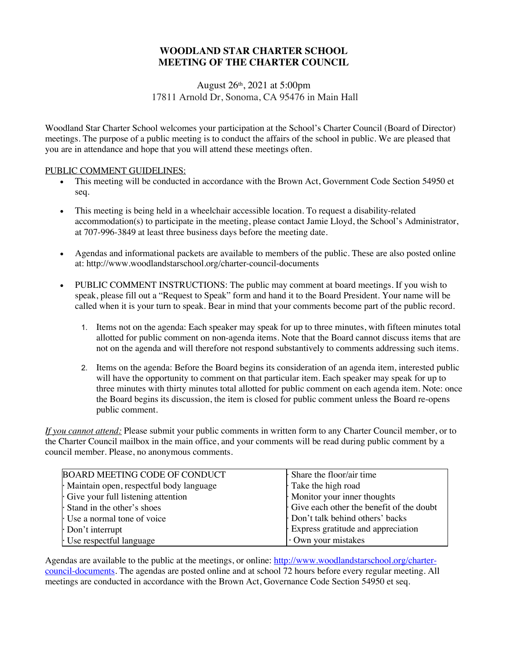# **WOODLAND STAR CHARTER SCHOOL MEETING OF THE CHARTER COUNCIL**

### August 26th, 2021 at 5:00pm 17811 Arnold Dr, Sonoma, CA 95476 in Main Hall

Woodland Star Charter School welcomes your participation at the School's Charter Council (Board of Director) meetings. The purpose of a public meeting is to conduct the affairs of the school in public. We are pleased that you are in attendance and hope that you will attend these meetings often.

### PUBLIC COMMENT GUIDELINES:

- This meeting will be conducted in accordance with the Brown Act, Government Code Section 54950 et seq.
- This meeting is being held in a wheelchair accessible location. To request a disability-related accommodation(s) to participate in the meeting, please contact Jamie Lloyd, the School's Administrator, at 707-996-3849 at least three business days before the meeting date.
- Agendas and informational packets are available to members of the public. These are also posted online at: http://www.woodlandstarschool.org/charter-council-documents
- PUBLIC COMMENT INSTRUCTIONS: The public may comment at board meetings. If you wish to speak, please fill out a "Request to Speak" form and hand it to the Board President. Your name will be called when it is your turn to speak. Bear in mind that your comments become part of the public record.
	- 1. Items not on the agenda: Each speaker may speak for up to three minutes, with fifteen minutes total allotted for public comment on non-agenda items. Note that the Board cannot discuss items that are not on the agenda and will therefore not respond substantively to comments addressing such items.
	- 2. Items on the agenda: Before the Board begins its consideration of an agenda item, interested public will have the opportunity to comment on that particular item. Each speaker may speak for up to three minutes with thirty minutes total allotted for public comment on each agenda item. Note: once the Board begins its discussion, the item is closed for public comment unless the Board re-opens public comment.

*If you cannot attend:* Please submit your public comments in written form to any Charter Council member, or to the Charter Council mailbox in the main office, and your comments will be read during public comment by a council member. Please, no anonymous comments.

| <b>BOARD MEETING CODE OF CONDUCT</b>    | $\cdot$ Share the floor/air time         |
|-----------------------------------------|------------------------------------------|
| Maintain open, respectful body language | Take the high road                       |
| Give your full listening attention      | Monitor your inner thoughts              |
| Stand in the other's shoes              | Give each other the benefit of the doubt |
| Use a normal tone of voice              | Don't talk behind others' backs          |
| $\cdot$ Don't interrupt                 | Express gratitude and appreciation       |
| Use respectful language                 | Own your mistakes                        |

Agendas are available to the public at the meetings, or online: http://www.woodlandstarschool.org/chartercouncil-documents. The agendas are posted online and at school 72 hours before every regular meeting. All meetings are conducted in accordance with the Brown Act, Governance Code Section 54950 et seq.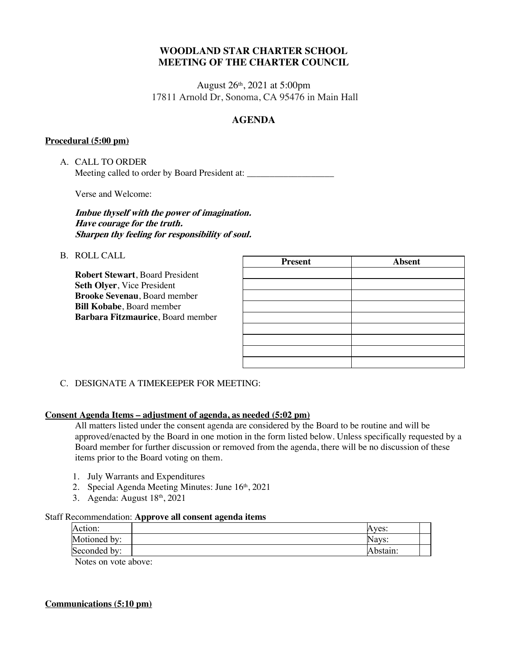## **WOODLAND STAR CHARTER SCHOOL MEETING OF THE CHARTER COUNCIL**

August 26th, 2021 at 5:00pm 17811 Arnold Dr, Sonoma, CA 95476 in Main Hall

# **AGENDA**

### **Procedural (5:00 pm)**

A. CALL TO ORDER Meeting called to order by Board President at: \_\_\_\_\_\_\_\_\_\_\_\_\_\_\_\_\_\_\_

Verse and Welcome:

### **Imbue thyself with the power of imagination. Have courage for the truth. Sharpen thy feeling for responsibility of soul.**

B. ROLL CALL

**Robert Stewart**, Board President **Seth Olyer**, Vice President **Brooke Sevenau**, Board member **Bill Kobabe**, Board member **Barbara Fitzmaurice**, Board member

| <b>Present</b> | <b>Absent</b> |
|----------------|---------------|
|                |               |
|                |               |
|                |               |
|                |               |
|                |               |
|                |               |
|                |               |
|                |               |
|                |               |

### C. DESIGNATE A TIMEKEEPER FOR MEETING:

### **Consent Agenda Items – adjustment of agenda, as needed (5:02 pm)**

All matters listed under the consent agenda are considered by the Board to be routine and will be approved/enacted by the Board in one motion in the form listed below. Unless specifically requested by a Board member for further discussion or removed from the agenda, there will be no discussion of these items prior to the Board voting on them.

- 1. July Warrants and Expenditures
- 2. Special Agenda Meeting Minutes: June 16th, 2021
- 3. Agenda: August 18th, 2021

### Staff Recommendation: **Approve all consent agenda items**

| Action:       | Aves:    |  |
|---------------|----------|--|
| Motioned by:  | Navs:    |  |
| Seconded by:  | Abstain: |  |
| $\sim$ $\sim$ |          |  |

Notes on vote above:

# **Communications (5:10 pm)**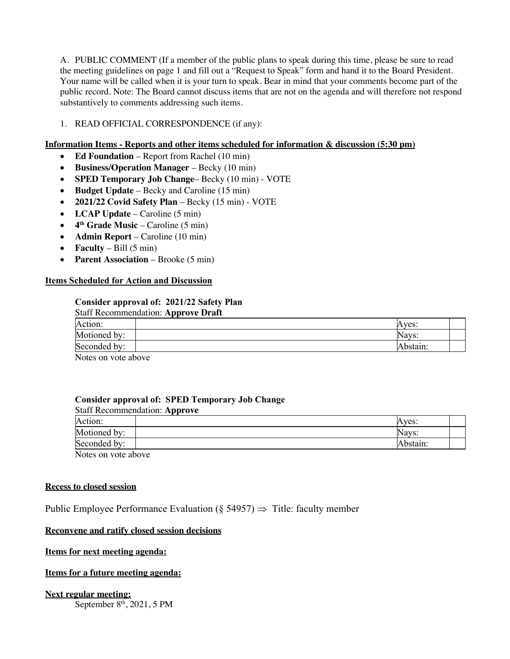A. PUBLIC COMMENT (If a member of the public plans to speak during this time, please be sure to read the meeting guidelines on page 1 and fill out a "Request to Speak" form and hand it to the Board President. Your name will be called when it is your turn to speak. Bear in mind that your comments become part of the public record. Note: The Board cannot discuss items that are not on the agenda and will therefore not respond substantively to comments addressing such items.

### 1. READ OFFICIAL CORRESPONDENCE (if any):

### **Information Items - Reports and other items scheduled for information & discussion (5:30 pm)**

- **Ed Foundation** Report from Rachel (10 min)
- **Business/Operation Manager** Becky (10 min)
- **SPED Temporary Job Change** Becky (10 min) VOTE
- **Budget Update** Becky and Caroline (15 min)
- **2021/22 Covid Safety Plan** Becky (15 min) VOTE
- **LCAP Update**  Caroline (5 min)
- $\bullet$  4<sup>th</sup> Grade Music Caroline (5 min)
- **Admin Report** Caroline (10 min)
- **Faculty** Bill  $(5 \text{ min})$
- **Parent Association** Brooke (5 min)

#### **Items Scheduled for Action and Discussion**

### **Consider approval of: 2021/22 Safety Plan**

| Staff Recommendation: Approve Draft |          |
|-------------------------------------|----------|
| Action:                             | Aves:    |
| Motioned by:                        | Nays:    |
| Seconded by:                        | Abstain: |
| Notes on yoto shows                 |          |

Notes on vote above

#### **Consider approval of: SPED Temporary Job Change**

| <b>Staff Recommendation: Approve</b> |          |  |
|--------------------------------------|----------|--|
| Action:                              | Aves:    |  |
| Motioned by:                         | Navs:    |  |
| Seconded by:                         | Abstain: |  |
| $\sim$ $\sim$                        |          |  |

Notes on vote above

#### **Recess to closed session**

Public Employee Performance Evaluation ( $\S$  54957)  $\Rightarrow$  Title: faculty member

### **Reconvene and ratify closed session decisions**

### **Items for next meeting agenda:**

### **Items for a future meeting agenda:**

#### **Next regular meeting:** September  $8<sup>th</sup>$ , 2021, 5 PM